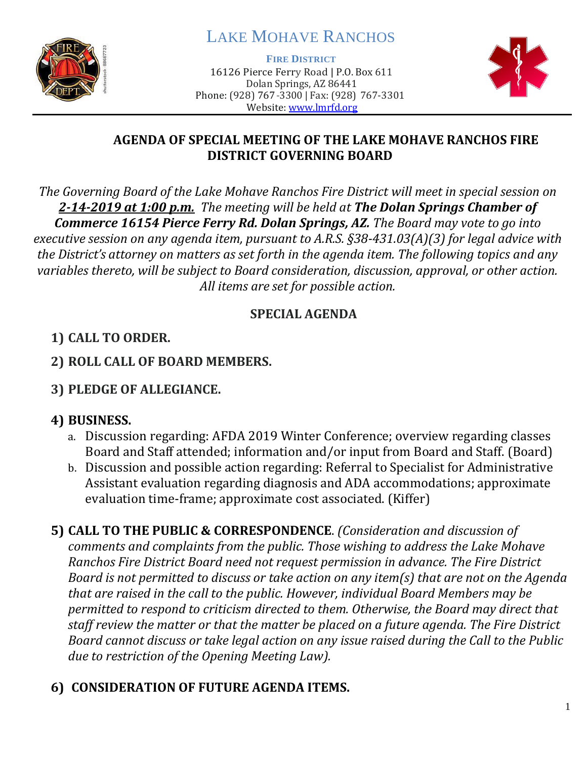

# LAKE MOHAVE RANCHOS

**FIRE DISTRICT**

16126 Pierce Ferry Road | P.O. Box 611 Dolan Springs, AZ 86441 Phone: (928) 767-3300 | Fax: (928) 767-3301 Website: [www.lmrfd.org](http://www.lmrfd.org/)



#### **AGENDA OF SPECIAL MEETING OF THE LAKE MOHAVE RANCHOS FIRE DISTRICT GOVERNING BOARD**

*The Governing Board of the Lake Mohave Ranchos Fire District will meet in special session on 2-14-2019 at 1:00 p.m. The meeting will be held at The Dolan Springs Chamber of Commerce 16154 Pierce Ferry Rd. Dolan Springs, AZ. The Board may vote to go into executive session on any agenda item, pursuant to A.R.S. §38-431.03(A)(3) for legal advice with the District's attorney on matters as set forth in the agenda item. The following topics and any variables thereto, will be subject to Board consideration, discussion, approval, or other action. All items are set for possible action.*

## **SPECIAL AGENDA**

## **1) CALL TO ORDER.**

- **2) ROLL CALL OF BOARD MEMBERS.**
- **3) PLEDGE OF ALLEGIANCE.**

## **4) BUSINESS.**

- a. Discussion regarding: AFDA 2019 Winter Conference; overview regarding classes Board and Staff attended; information and/or input from Board and Staff. (Board)
- b. Discussion and possible action regarding: Referral to Specialist for Administrative Assistant evaluation regarding diagnosis and ADA accommodations; approximate evaluation time-frame; approximate cost associated. (Kiffer)

**5) CALL TO THE PUBLIC & CORRESPONDENCE**. *(Consideration and discussion of comments and complaints from the public. Those wishing to address the Lake Mohave Ranchos Fire District Board need not request permission in advance. The Fire District Board is not permitted to discuss or take action on any item(s) that are not on the Agenda that are raised in the call to the public. However, individual Board Members may be permitted to respond to criticism directed to them. Otherwise, the Board may direct that staff review the matter or that the matter be placed on a future agenda. The Fire District Board cannot discuss or take legal action on any issue raised during the Call to the Public due to restriction of the Opening Meeting Law).*

## **6) CONSIDERATION OF FUTURE AGENDA ITEMS.**